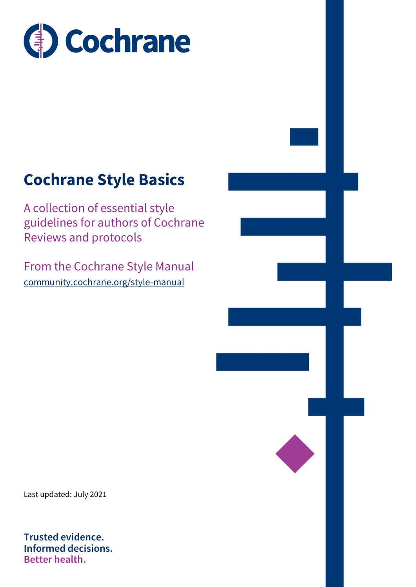

# **Cochrane Style Basics**

A collection of essential style guidelines for authors of Cochrane Reviews and protocols

From the Cochrane Style Manual [community.cochrane.org/style-manual](http://www.cochrane.org/style-manual)

Last updated: July 2021

**Trusted evidence. Informed decisions. Better health.**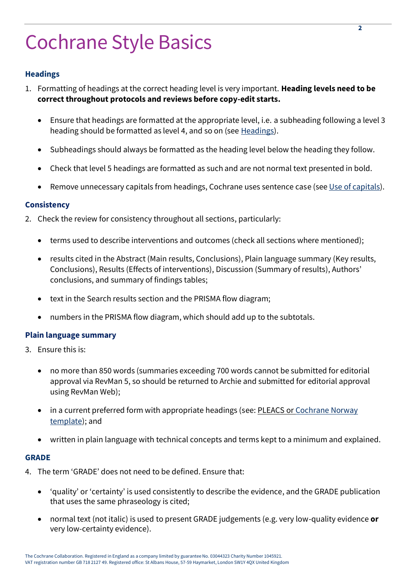# Cochrane Style Basics

# **Headings**

- 1. Formatting of headings at the correct heading level is very important. **Heading levels need to be correct throughout protocols and reviews before copy-edit starts.**
	- Ensure that headings are formatted at the appropriate level, i.e. a subheading following a level 3 heading should be formatted as level 4, and so on (se[e Headings\)](https://community.cochrane.org/style-manual/cochrane-review-specific/headings).
	- Subheadings should always be formatted as the heading level below the heading they follow.
	- Check that level 5 headings are formatted as such and are not normal text presented in bold.
	- Remove unnecessary capitals from headings, Cochrane uses sentence case (see [Use of capitals\)](https://community.cochrane.org/style-manual/cochrane-review-specific/headings).

# **Consistency**

- 2. Check the review for consistency throughout all sections, particularly:
	- terms used to describe interventions and outcomes (check all sections where mentioned);
	- results cited in the Abstract (Main results, Conclusions), Plain language summary (Key results, Conclusions), Results (Effects of interventions), Discussion (Summary of results), Authors' conclusions, and summary of findings tables;
	- text in the Search results section and the PRISMA flow diagram;
	- numbers in the PRISMA flow diagram, which should add up to the subtotals.

# **Plain language summary**

- 3. Ensure this is:
	- no more than 850 words (summaries exceeding 700 words cannot be submitted for editorial approval via RevMan 5, so should be returned to Archie and submitted for editorial approval using RevMan Web);
	- in a current preferred form with appropriate headings (see[: PLEACS](http://methods.cochrane.org/sites/default/files/public/uploads/PLEACS_0.pdf) or Cochrane Norway [template\)](https://www.cochrane.no/plain-language-summary-format); and
	- written in plain language with technical concepts and terms kept to a minimum and explained.

# **GRADE**

- 4. The term 'GRADE' does not need to be defined. Ensure that:
	- 'quality' or 'certainty' is used consistently to describe the evidence, and the GRADE publication that uses the same phraseology is cited;
	- normal text (not italic) is used to present GRADE judgements (e.g. very low-quality evidence **or** very low-certainty evidence).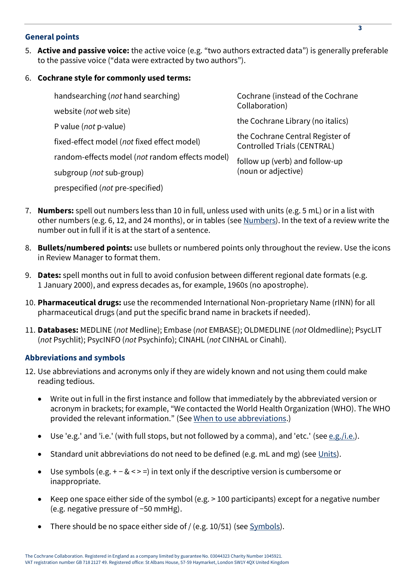# **General points**

5. **Active and passive voice:** the active voice (e.g. "two authors extracted data") is generally preferable to the passive voice ("data were extracted by two authors").

# 6. **Cochrane style for commonly used terms:**

| handsearching (not hand searching)              | Cochrane (instead of the Cochrane<br>Collaboration)                    |
|-------------------------------------------------|------------------------------------------------------------------------|
| website (not web site)                          |                                                                        |
| P value ( <i>not</i> p-value)                   | the Cochrane Library (no italics)                                      |
| fixed-effect model (not fixed effect model)     | the Cochrane Central Register of<br><b>Controlled Trials (CENTRAL)</b> |
| random-effects model (not random effects model) | follow up (verb) and follow-up<br>(noun or adjective)                  |
| subgroup ( <i>not</i> sub-group)                |                                                                        |
| prespecified (not pre-specified)                |                                                                        |

- 7. **Numbers:** spell out numbers less than 10 in full, unless used with units (e.g. 5 mL) or in a list with other numbers (e.g. 6, 12, and 24 months), or in tables (se[e Numbers\)](https://community.cochrane.org/style-manual/numbers-statistics-and-units/numbers#exceptions). In the text of a review write the number out in full if it is at the start of a sentence.
- 8. **Bullets/numbered points:** use bullets or numbered points only throughout the review. Use the icons in Review Manager to format them.
- 9. **Dates:** spell months out in full to avoid confusion between different regional date formats (e.g. 1 January 2000), and express decades as, for example, 1960s (no apostrophe).
- 10. **Pharmaceutical drugs:** use the recommended International Non-proprietary Name (rINN) for all pharmaceutical drugs (and put the specific brand name in brackets if needed).
- 11. **Databases:** MEDLINE (*not* Medline); Embase (*not* EMBASE); OLDMEDLINE (*not* Oldmedline); PsycLIT (*not* Psychlit); PsycINFO (*not* Psychinfo); CINAHL (*not* CINHAL or Cinahl).

# **Abbreviations and symbols**

- 12. Use abbreviations and acronyms only if they are widely known and not using them could make reading tedious.
	- Write out in full in the first instance and follow that immediately by the abbreviated version or acronym in brackets; for example, "We contacted the World Health Organization (WHO). The WHO provided the relevant information." (See [When to use abbreviations.](https://community.cochrane.org/style-manual/abbreviations-acronyms-and-initialisms/when-use-abbreviations-acronyms-and-initialisms))
	- Use 'e.g.' and 'i.e.' (with full stops, but not followed by a comma), and 'etc.' (see  $e.g./i.e.$ ).
	- Standard unit abbreviations do not need to be defined (e.g. mL and mg) (see [Units\)](https://community.cochrane.org/style-manual/numbers-statistics-and-units/units-and-systems-measurement).
	- Use symbols (e.g. + − & < > =) in text only if the descriptive version is cumbersome or inappropriate.
	- Keep one space either side of the symbol (e.g. > 100 participants) except for a negative number (e.g. negative pressure of −50 mmHg).
	- There should be no space either side of / (e.g. 10/51) (se[e Symbols\)](https://community.cochrane.org/style-manual/formatting/symbols-and-special-characters).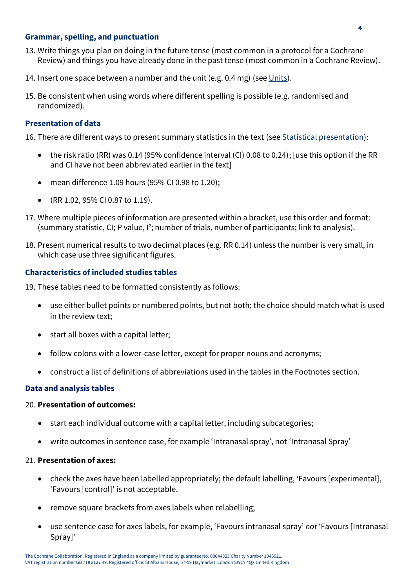# **Grammar, spelling, and punctuation**

- 13. Write things you plan on doing in the future tense (most common in a protocol for a Cochrane Review) and things you have already done in the past tense (most common in a Cochrane Review).
- 14. Insert one space between a number and the unit (e.g. 0.4 mg) (see  $Units$ ).</u>
- 15. Be consistent when using words where different spelling is possible (e.g. randomised and randomized).

#### **Presentation of data**

- 16. There are different ways to present summary statistics in the text (se[e Statistical presentation\)](https://community.cochrane.org/style-manual/numbers-statistics-and-units/statistical-and-mathematical-presentation):
	- the risk ratio (RR) was 0.14 (95% confidence interval (CI) 0.08 to 0.24); [use this option if the RR and CI have not been abbreviated earlier in the text]
	- mean difference 1.09 hours (95% CI 0.98 to 1.20);
	- (RR 1.02, 95% CI 0.87 to 1.19).
- 17. Where multiple pieces of information are presented within a bracket, use this order and format: (summary statistic, CI; P value, I<sup>2</sup>; number of trials, number of participants; link to analysis).
- 18. Present numerical results to two decimal places (e.g. RR 0.14) unless the number is very small, in which case use three significant figures.

#### **Characteristics of included studies tables**

- 19. These tables need to be formatted consistently as follows:
	- use either bullet points or numbered points, but not both; the choice should match what is used in the review text;
	- start all boxes with a capital letter;
	- follow colons with a lower-case letter, except for proper nouns and acronyms;
	- construct a list of definitions of abbreviations used in the tables in the Footnotes section.

#### **Data and analysis tables**

#### 20. **Presentation of outcomes:**

- start each individual outcome with a capital letter, including subcategories;
- write outcomes in sentence case, for example 'Intranasal spray', not 'Intranasal Spray'

#### 21. **Presentation of axes:**

- check the axes have been labelled appropriately; the default labelling, 'Favours [experimental], 'Favours [control]' is not acceptable.
- remove square brackets from axes labels when relabelling;
- use sentence case for axes labels, for example, 'Favours intranasal spray' *not* 'Favours [Intranasal Spray]'